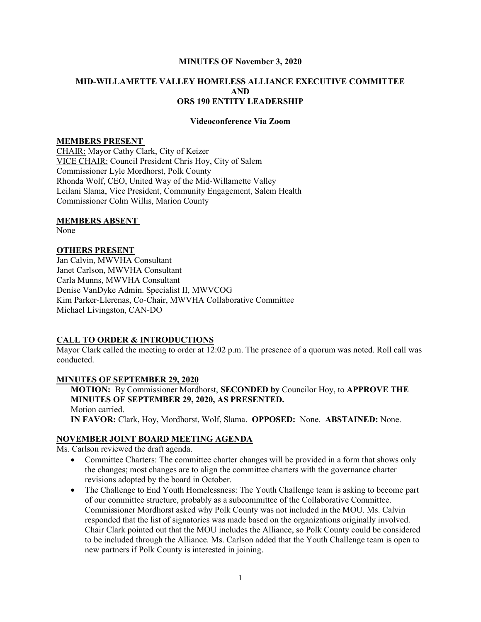#### MINUTES OF November 3, 2020

## MID-WILLAMETTE VALLEY HOMELESS ALLIANCE EXECUTIVE COMMITTEE AND ORS 190 ENTITY LEADERSHIP

#### Videoconference Via Zoom

### MEMBERS PRESENT

CHAIR: Mayor Cathy Clark, City of Keizer VICE CHAIR: Council President Chris Hoy, City of Salem Commissioner Lyle Mordhorst, Polk County Rhonda Wolf, CEO, United Way of the Mid-Willamette Valley Leilani Slama, Vice President, Community Engagement, Salem Health Commissioner Colm Willis, Marion County

#### MEMBERS ABSENT

None

#### OTHERS PRESENT

Jan Calvin, MWVHA Consultant Janet Carlson, MWVHA Consultant Carla Munns, MWVHA Consultant Denise VanDyke Admin. Specialist II, MWVCOG Kim Parker-Llerenas, Co-Chair, MWVHA Collaborative Committee Michael Livingston, CAN-DO

#### CALL TO ORDER & INTRODUCTIONS

Mayor Clark called the meeting to order at 12:02 p.m. The presence of a quorum was noted. Roll call was conducted.

#### MINUTES OF SEPTEMBER 29, 2020

MOTION: By Commissioner Mordhorst, SECONDED by Councilor Hoy, to APPROVE THE MINUTES OF SEPTEMBER 29, 2020, AS PRESENTED. Motion carried. IN FAVOR: Clark, Hoy, Mordhorst, Wolf, Slama. OPPOSED: None. ABSTAINED: None.

#### NOVEMBER JOINT BOARD MEETING AGENDA

Ms. Carlson reviewed the draft agenda.

- Committee Charters: The committee charter changes will be provided in a form that shows only the changes; most changes are to align the committee charters with the governance charter revisions adopted by the board in October.
- The Challenge to End Youth Homelessness: The Youth Challenge team is asking to become part of our committee structure, probably as a subcommittee of the Collaborative Committee. Commissioner Mordhorst asked why Polk County was not included in the MOU. Ms. Calvin responded that the list of signatories was made based on the organizations originally involved. Chair Clark pointed out that the MOU includes the Alliance, so Polk County could be considered to be included through the Alliance. Ms. Carlson added that the Youth Challenge team is open to new partners if Polk County is interested in joining.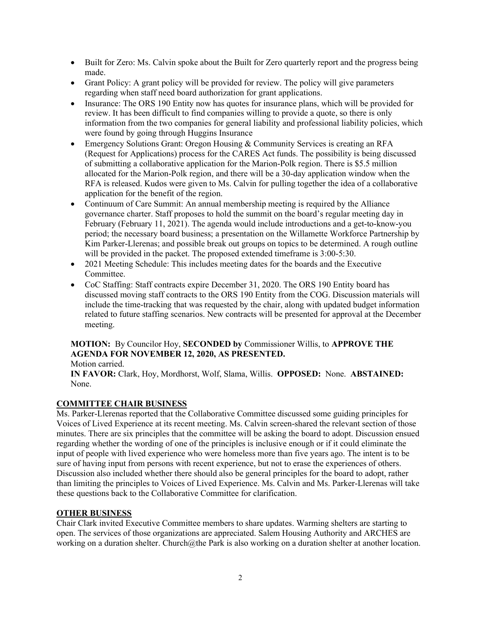- Built for Zero: Ms. Calvin spoke about the Built for Zero quarterly report and the progress being made.
- Grant Policy: A grant policy will be provided for review. The policy will give parameters regarding when staff need board authorization for grant applications.
- Insurance: The ORS 190 Entity now has quotes for insurance plans, which will be provided for review. It has been difficult to find companies willing to provide a quote, so there is only information from the two companies for general liability and professional liability policies, which were found by going through Huggins Insurance
- Emergency Solutions Grant: Oregon Housing & Community Services is creating an RFA (Request for Applications) process for the CARES Act funds. The possibility is being discussed of submitting a collaborative application for the Marion-Polk region. There is \$5.5 million allocated for the Marion-Polk region, and there will be a 30-day application window when the RFA is released. Kudos were given to Ms. Calvin for pulling together the idea of a collaborative application for the benefit of the region.
- Continuum of Care Summit: An annual membership meeting is required by the Alliance governance charter. Staff proposes to hold the summit on the board's regular meeting day in February (February 11, 2021). The agenda would include introductions and a get-to-know-you period; the necessary board business; a presentation on the Willamette Workforce Partnership by Kim Parker-Llerenas; and possible break out groups on topics to be determined. A rough outline will be provided in the packet. The proposed extended timeframe is  $3:00-5:30$ .
- 2021 Meeting Schedule: This includes meeting dates for the boards and the Executive Committee.
- CoC Staffing: Staff contracts expire December 31, 2020. The ORS 190 Entity board has discussed moving staff contracts to the ORS 190 Entity from the COG. Discussion materials will include the time-tracking that was requested by the chair, along with updated budget information related to future staffing scenarios. New contracts will be presented for approval at the December meeting.

# MOTION: By Councilor Hoy, SECONDED by Commissioner Willis, to APPROVE THE AGENDA FOR NOVEMBER 12, 2020, AS PRESENTED.

Motion carried.

IN FAVOR: Clark, Hoy, Mordhorst, Wolf, Slama, Willis. OPPOSED: None. ABSTAINED: None.

# COMMITTEE CHAIR BUSINESS

Ms. Parker-Llerenas reported that the Collaborative Committee discussed some guiding principles for Voices of Lived Experience at its recent meeting. Ms. Calvin screen-shared the relevant section of those minutes. There are six principles that the committee will be asking the board to adopt. Discussion ensued regarding whether the wording of one of the principles is inclusive enough or if it could eliminate the input of people with lived experience who were homeless more than five years ago. The intent is to be sure of having input from persons with recent experience, but not to erase the experiences of others. Discussion also included whether there should also be general principles for the board to adopt, rather than limiting the principles to Voices of Lived Experience. Ms. Calvin and Ms. Parker-Llerenas will take these questions back to the Collaborative Committee for clarification.

# OTHER BUSINESS

Chair Clark invited Executive Committee members to share updates. Warming shelters are starting to open. The services of those organizations are appreciated. Salem Housing Authority and ARCHES are working on a duration shelter. Church@the Park is also working on a duration shelter at another location.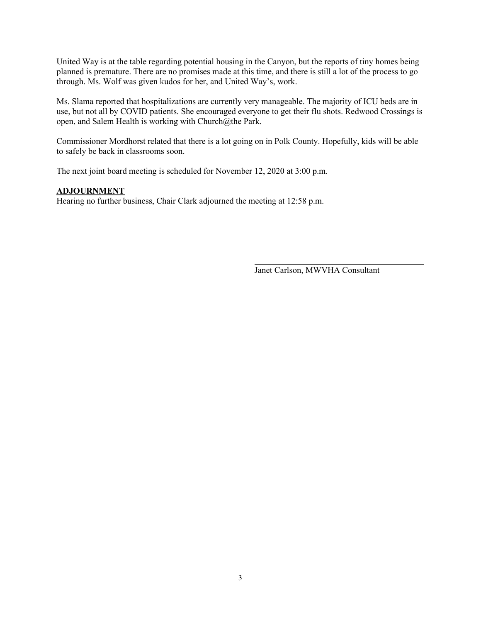United Way is at the table regarding potential housing in the Canyon, but the reports of tiny homes being planned is premature. There are no promises made at this time, and there is still a lot of the process to go through. Ms. Wolf was given kudos for her, and United Way's, work.

Ms. Slama reported that hospitalizations are currently very manageable. The majority of ICU beds are in use, but not all by COVID patients. She encouraged everyone to get their flu shots. Redwood Crossings is open, and Salem Health is working with Church@the Park.

Commissioner Mordhorst related that there is a lot going on in Polk County. Hopefully, kids will be able to safely be back in classrooms soon.

The next joint board meeting is scheduled for November 12, 2020 at 3:00 p.m.

## ADJOURNMENT

Hearing no further business, Chair Clark adjourned the meeting at 12:58 p.m.

Janet Carlson, MWVHA Consultant